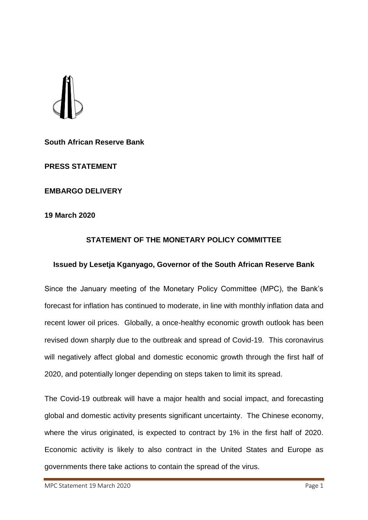**South African Reserve Bank**

**PRESS STATEMENT**

**EMBARGO DELIVERY**

**19 March 2020**

## **STATEMENT OF THE MONETARY POLICY COMMITTEE**

## **Issued by Lesetja Kganyago, Governor of the South African Reserve Bank**

Since the January meeting of the Monetary Policy Committee (MPC), the Bank's forecast for inflation has continued to moderate, in line with monthly inflation data and recent lower oil prices. Globally, a once-healthy economic growth outlook has been revised down sharply due to the outbreak and spread of Covid-19. This coronavirus will negatively affect global and domestic economic growth through the first half of 2020, and potentially longer depending on steps taken to limit its spread.

The Covid-19 outbreak will have a major health and social impact, and forecasting global and domestic activity presents significant uncertainty. The Chinese economy, where the virus originated, is expected to contract by 1% in the first half of 2020. Economic activity is likely to also contract in the United States and Europe as governments there take actions to contain the spread of the virus.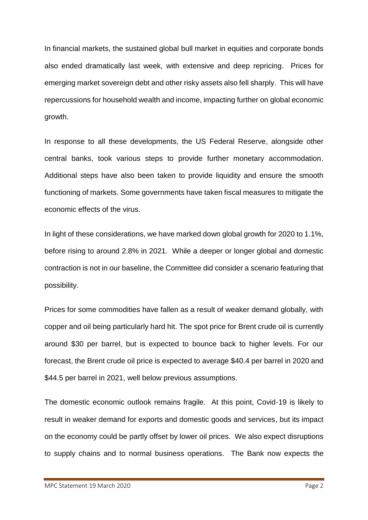In financial markets, the sustained global bull market in equities and corporate bonds also ended dramatically last week, with extensive and deep repricing. Prices for emerging market sovereign debt and other risky assets also fell sharply. This will have repercussions for household wealth and income, impacting further on global economic growth.

In response to all these developments, the US Federal Reserve, alongside other central banks, took various steps to provide further monetary accommodation. Additional steps have also been taken to provide liquidity and ensure the smooth functioning of markets. Some governments have taken fiscal measures to mitigate the economic effects of the virus.

In light of these considerations, we have marked down global growth for 2020 to 1.1%, before rising to around 2.8% in 2021. While a deeper or longer global and domestic contraction is not in our baseline, the Committee did consider a scenario featuring that possibility.

Prices for some commodities have fallen as a result of weaker demand globally, with copper and oil being particularly hard hit. The spot price for Brent crude oil is currently around \$30 per barrel, but is expected to bounce back to higher levels. For our forecast, the Brent crude oil price is expected to average \$40.4 per barrel in 2020 and \$44.5 per barrel in 2021, well below previous assumptions.

The domestic economic outlook remains fragile. At this point, Covid-19 is likely to result in weaker demand for exports and domestic goods and services, but its impact on the economy could be partly offset by lower oil prices. We also expect disruptions to supply chains and to normal business operations. The Bank now expects the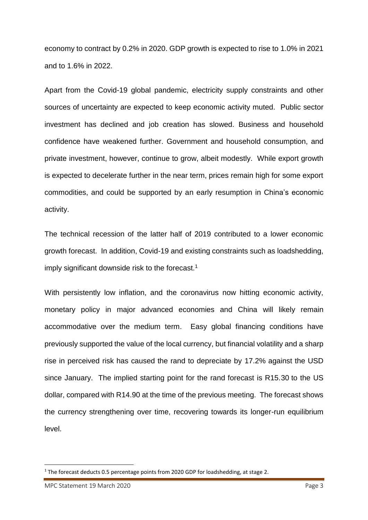economy to contract by 0.2% in 2020. GDP growth is expected to rise to 1.0% in 2021 and to 1.6% in 2022.

Apart from the Covid-19 global pandemic, electricity supply constraints and other sources of uncertainty are expected to keep economic activity muted. Public sector investment has declined and job creation has slowed. Business and household confidence have weakened further. Government and household consumption, and private investment, however, continue to grow, albeit modestly. While export growth is expected to decelerate further in the near term, prices remain high for some export commodities, and could be supported by an early resumption in China's economic activity.

The technical recession of the latter half of 2019 contributed to a lower economic growth forecast. In addition, Covid-19 and existing constraints such as loadshedding, imply significant downside risk to the forecast.<sup>1</sup>

With persistently low inflation, and the coronavirus now hitting economic activity, monetary policy in major advanced economies and China will likely remain accommodative over the medium term. Easy global financing conditions have previously supported the value of the local currency, but financial volatility and a sharp rise in perceived risk has caused the rand to depreciate by 17.2% against the USD since January. The implied starting point for the rand forecast is R15.30 to the US dollar, compared with R14.90 at the time of the previous meeting. The forecast shows the currency strengthening over time, recovering towards its longer-run equilibrium level.

**.** 

<sup>&</sup>lt;sup>1</sup> The forecast deducts 0.5 percentage points from 2020 GDP for loadshedding, at stage 2.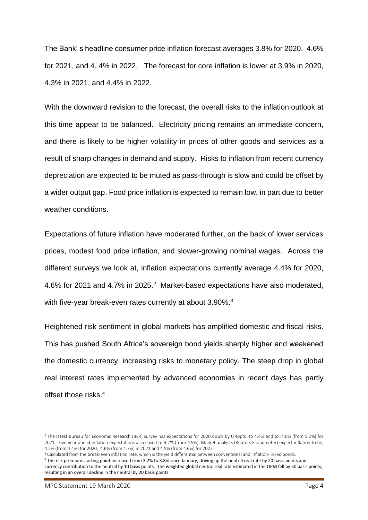The Bank' s headline consumer price inflation forecast averages 3.8% for 2020, 4.6% for 2021, and 4. 4% in 2022. The forecast for core inflation is lower at 3.9% in 2020, 4.3% in 2021, and 4.4% in 2022.

With the downward revision to the forecast, the overall risks to the inflation outlook at this time appear to be balanced. Electricity pricing remains an immediate concern, and there is likely to be higher volatility in prices of other goods and services as a result of sharp changes in demand and supply. Risks to inflation from recent currency depreciation are expected to be muted as pass-through is slow and could be offset by a wider output gap. Food price inflation is expected to remain low, in part due to better weather conditions.

Expectations of future inflation have moderated further, on the back of lower services prices, modest food price inflation, and slower-growing nominal wages. Across the different surveys we look at, inflation expectations currently average 4.4% for 2020, 4.6% for 2021 and 4.7% in 2025.<sup>2</sup> Market-based expectations have also moderated, with five-year break-even rates currently at about 3.90%.<sup>3</sup>

Heightened risk sentiment in global markets has amplified domestic and fiscal risks. This has pushed South Africa's sovereign bond yields sharply higher and weakened the domestic currency, increasing risks to monetary policy. The steep drop in global real interest rates implemented by advanced economies in recent days has partly offset those risks. 4

**.** 

<sup>&</sup>lt;sup>2</sup> The latest Bureau for Economic Research (BER) survey has expectations for 2020 down by 0.4ppts to 4.4% and to .4.6% (from 5.0%) for 2021. Five-year-ahead inflation expectations also eased to 4.7% (from 4.9%). Market analysts (Reuters Econometer) expect inflation to be, 4.2% (from 4.4%) for 2020, 4.6% (from 4.7%) in 2021 and 4.5% (from 4.6%) for 2022.

<sup>&</sup>lt;sup>3</sup> Calculated from the break-even inflation rate, which is the yield differential between conventional and inflation-linked bonds.

<sup>4</sup> The risk premium starting point increased from 3.2% to 3.8% since January, driving up the neutral real rate by 20 basis points and currency contribution to the neutral by 10 basis points. The weighted global neutral real rate estimated in the QPM fell by 50 basis points, resulting in an overall decline in the neutral by 20 basis points.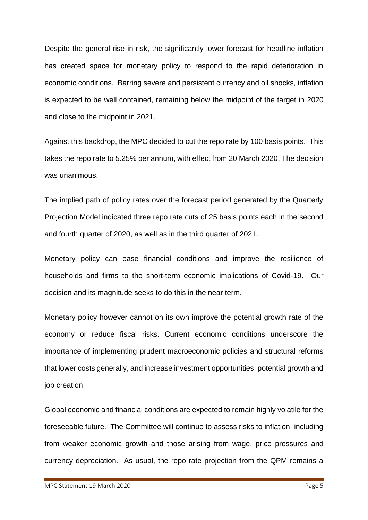Despite the general rise in risk, the significantly lower forecast for headline inflation has created space for monetary policy to respond to the rapid deterioration in economic conditions. Barring severe and persistent currency and oil shocks, inflation is expected to be well contained, remaining below the midpoint of the target in 2020 and close to the midpoint in 2021.

Against this backdrop, the MPC decided to cut the repo rate by 100 basis points. This takes the repo rate to 5.25% per annum, with effect from 20 March 2020. The decision was unanimous.

The implied path of policy rates over the forecast period generated by the Quarterly Projection Model indicated three repo rate cuts of 25 basis points each in the second and fourth quarter of 2020, as well as in the third quarter of 2021.

Monetary policy can ease financial conditions and improve the resilience of households and firms to the short-term economic implications of Covid-19. Our decision and its magnitude seeks to do this in the near term.

Monetary policy however cannot on its own improve the potential growth rate of the economy or reduce fiscal risks. Current economic conditions underscore the importance of implementing prudent macroeconomic policies and structural reforms that lower costs generally, and increase investment opportunities, potential growth and job creation.

Global economic and financial conditions are expected to remain highly volatile for the foreseeable future. The Committee will continue to assess risks to inflation, including from weaker economic growth and those arising from wage, price pressures and currency depreciation. As usual, the repo rate projection from the QPM remains a